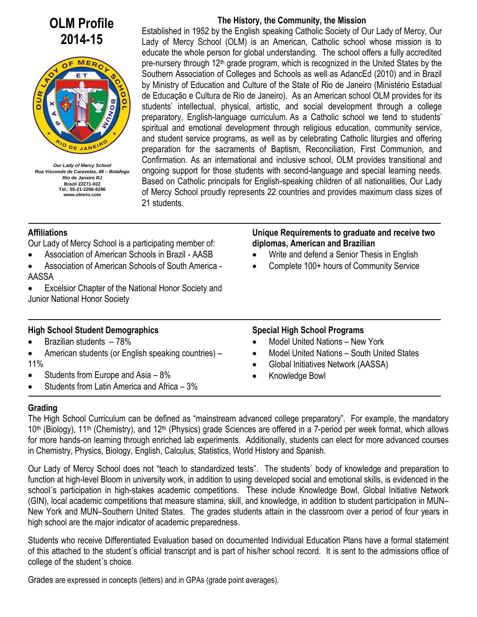# **OLM Profile 2014-15**



*Our Lady of Mercy School Rua Visconde de Caravelas, 48 – Botafogo Rio de Janeiro RJ* **Brazil 22271-022 Tel.: 55-21-2266-8286 www.olmrio.com**

## **The History, the Community, the Mission**

 Established in 1952 by the English speaking Catholic Society of Our Lady of Mercy, Our Lady of Mercy School (OLM) is an American, Catholic school whose mission is to educate the whole person for global understanding. The school offers a fully accredited pre-nursery through  $12<sup>th</sup>$  grade program, which is recognized in the United States by the Southern Association of Colleges and Schools as well as AdancEd (2010) and in Brazil by Ministry of Education and Culture of the State of Rio de Janeiro (Ministério Estadual de Educação e Cultura de Rio de Janeiro). As an American school OLM provides for its students' intellectual, physical, artistic, and social development through a college preparatory, English-language curriculum. As a Catholic school we tend to students' spiritual and emotional development through religious education, community service, and student service programs, as well as by celebrating Catholic liturgies and offering preparation for the sacraments of Baptism, Reconciliation, First Communion, and Confirmation. As an international and inclusive school, OLM provides transitional and ongoing support for those students with second-language and special learning needs. Based on Catholic principals for English-speaking children of all nationalities, Our Lady of Mercy School proudly represents 22 countries and provides maximum class sizes of 21 students.

## **Affiliations**

Our Lady of Mercy School is a participating member of:

- Association of American Schools in Brazil AASB
- Association of American Schools of South America AASSA
- Excelsior Chapter of the National Honor Society and Junior National Honor Society

## **High School Student Demographics**

- $\bullet$  Brazilian students  $-78\%$
- American students (or English speaking countries) 11%
- $\bullet$  Students from Europe and Asia  $-8\%$
- Students from Latin America and Africa 3%

#### **Unique Requirements to graduate and receive two diplomas, American and Brazilian**  Write and defend a Senior Thesis in English

Complete 100+ hours of Community Service

# **Special High School Programs**

- Model United Nations New York
- Model United Nations South United States
- Global Initiatives Network (AASSA)
- Knowledge Bowl

# **Grading**

The High School Curriculum can be defined as "mainstream advanced college preparatory". For example, the mandatory 10<sup>th</sup> (Biology), 11<sup>th</sup> (Chemistry), and 12<sup>th</sup> (Physics) grade Sciences are offered in a 7-period per week format, which allows for more hands-on learning through enriched lab experiments. Additionally, students can elect for more advanced courses in Chemistry, Physics, Biology, English, Calculus, Statistics, World History and Spanish.

Our Lady of Mercy School does not "teach to standardized tests". The students´ body of knowledge and preparation to function at high-level Bloom in university work, in addition to using developed social and emotional skills, is evidenced in the school´s participation in high-stakes academic competitions. These include Knowledge Bowl, Global Initiative Network (GIN), local academic competitions that measure stamina, skill, and knowledge, in addition to student participation in MUN– New York and MUN–Southern United States. The grades students attain in the classroom over a period of four years in high school are the major indicator of academic preparedness.

Students who receive Differentiated Evaluation based on documented Individual Education Plans have a formal statement of this attached to the student´s official transcript and is part of his/her school record. It is sent to the admissions office of college of the student´s choice.

Grades are expressed in concepts (letters) and in GPAs (grade point averages).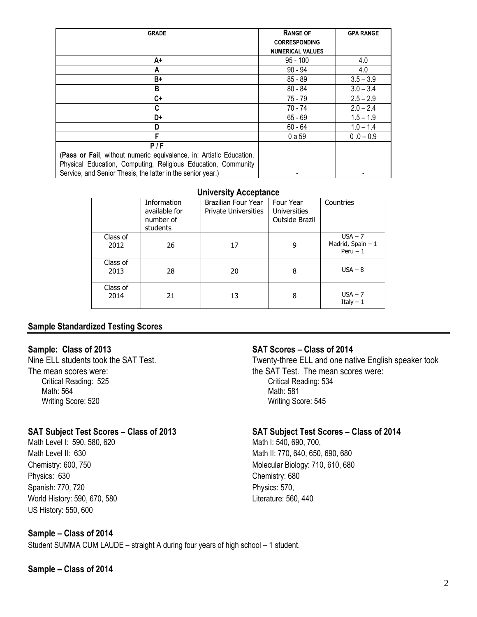| <b>GRADE</b>                                                        | <b>RANGE OF</b>         | <b>GPA RANGE</b> |
|---------------------------------------------------------------------|-------------------------|------------------|
|                                                                     | <b>CORRESPONDING</b>    |                  |
|                                                                     | <b>NUMERICAL VALUES</b> |                  |
| A+                                                                  | $95 - 100$              | 4.0              |
| A                                                                   | $90 - 94$               | 4.0              |
| B+                                                                  | $85 - 89$               | $3.5 - 3.9$      |
| B                                                                   | $80 - 84$               | $3.0 - 3.4$      |
| C+                                                                  | 75 - 79                 | $2.5 - 2.9$      |
| C                                                                   | 70 - 74                 | $2.0 - 2.4$      |
| D+                                                                  | $65 - 69$               | $1.5 - 1.9$      |
| D                                                                   | $60 - 64$               | $1.0 - 1.4$      |
| F                                                                   | 0 a 59                  | $0.0 - 0.9$      |
| P/F                                                                 |                         |                  |
| (Pass or Fail, without numeric equivalence, in: Artistic Education, |                         |                  |
| Physical Education, Computing, Religious Education, Community       |                         |                  |
| Service, and Senior Thesis, the latter in the senior year.)         |                         |                  |

#### **University Acceptance**

| . <i>.</i>       |                                                       |                                                    |                                                    |                                              |  |  |
|------------------|-------------------------------------------------------|----------------------------------------------------|----------------------------------------------------|----------------------------------------------|--|--|
|                  | Information<br>available for<br>number of<br>students | Brazilian Four Year<br><b>Private Universities</b> | Four Year<br><b>Universities</b><br>Outside Brazil | Countries                                    |  |  |
| Class of<br>2012 | 26                                                    | 17                                                 | 9                                                  | $USA - 7$<br>Madrid, Spain - 1<br>$Peru - 1$ |  |  |
| Class of<br>2013 | 28                                                    | 20                                                 | 8                                                  | $USA - 8$                                    |  |  |
| Class of<br>2014 | 21                                                    | 13                                                 | 8                                                  | $USA - 7$<br>Italy $-1$                      |  |  |

## **Sample Standardized Testing Scores**

## **Sample: Class of 2013**

Nine ELL students took the SAT Test. The mean scores were: Critical Reading: 525 Math: 564 Writing Score: 520

## **SAT Subject Test Scores – Class of 2013**

Math Level I: 590, 580, 620 Math Level II: 630 Chemistry: 600, 750 Physics: 630 Spanish: 770, 720 World History: 590, 670, 580 US History: 550, 600

## **Sample – Class of 2014**

Student SUMMA CUM LAUDE – straight A during four years of high school – 1 student.

#### **Sample – Class of 2014**

## **SAT Scores – Class of 2014**

Twenty-three ELL and one native English speaker took the SAT Test. The mean scores were: Critical Reading: 534 Math: 581 Writing Score: 545

## **SAT Subject Test Scores – Class of 2014**

Math I: 540, 690, 700, Math II: 770, 640, 650, 690, 680 Molecular Biology: 710, 610, 680 Chemistry: 680 Physics: 570, Literature: 560, 440